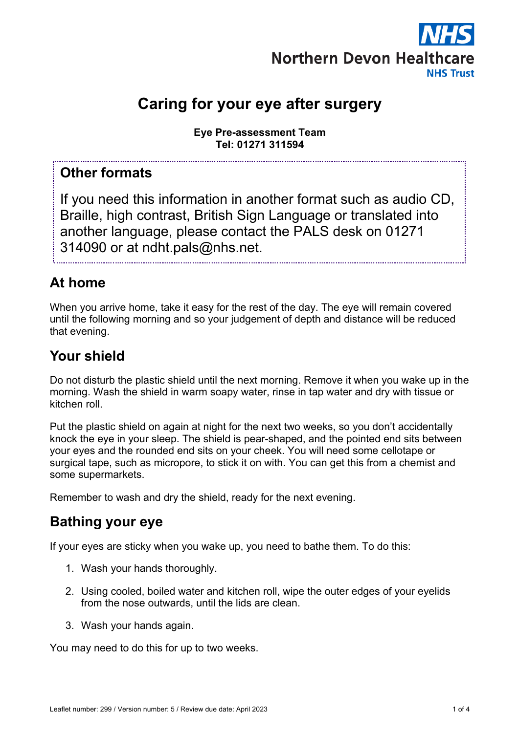

# **Caring for your eye after surgery**

**Eye Pre-assessment Team Tel: 01271 311594**

### **Other formats**

If you need this information in another format such as audio CD, Braille, high contrast, British Sign Language or translated into another language, please contact the PALS desk on 01271 314090 or at ndht.pals@nhs.net.

## **At home**

When you arrive home, take it easy for the rest of the day. The eye will remain covered until the following morning and so your judgement of depth and distance will be reduced that evening.

### **Your shield**

Do not disturb the plastic shield until the next morning. Remove it when you wake up in the morning. Wash the shield in warm soapy water, rinse in tap water and dry with tissue or kitchen roll.

Put the plastic shield on again at night for the next two weeks, so you don't accidentally knock the eye in your sleep. The shield is pear-shaped, and the pointed end sits between your eyes and the rounded end sits on your cheek. You will need some cellotape or surgical tape, such as micropore, to stick it on with. You can get this from a chemist and some supermarkets.

Remember to wash and dry the shield, ready for the next evening.

### **Bathing your eye**

If your eyes are sticky when you wake up, you need to bathe them. To do this:

- 1. Wash your hands thoroughly.
- 2. Using cooled, boiled water and kitchen roll, wipe the outer edges of your eyelids from the nose outwards, until the lids are clean.
- 3. Wash your hands again.

You may need to do this for up to two weeks.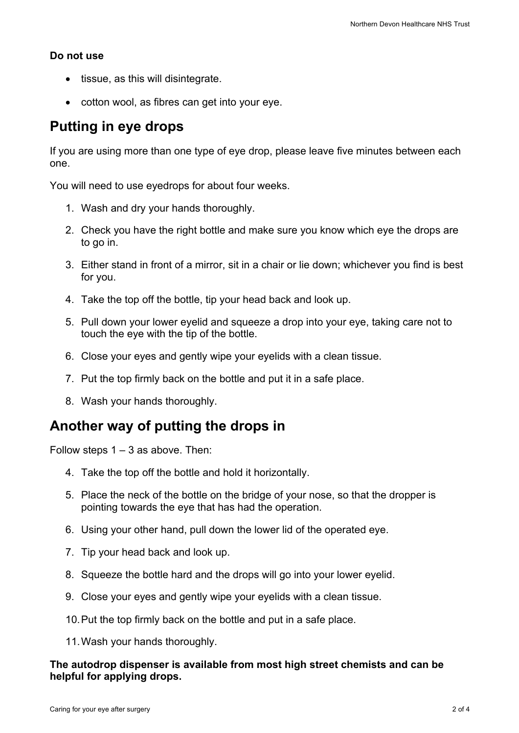#### **Do not use**

- tissue, as this will disintegrate.
- cotton wool, as fibres can get into your eye.

### **Putting in eye drops**

If you are using more than one type of eye drop, please leave five minutes between each one.

You will need to use eyedrops for about four weeks.

- 1. Wash and dry your hands thoroughly.
- 2. Check you have the right bottle and make sure you know which eye the drops are to go in.
- 3. Either stand in front of a mirror, sit in a chair or lie down; whichever you find is best for you.
- 4. Take the top off the bottle, tip your head back and look up.
- 5. Pull down your lower eyelid and squeeze a drop into your eye, taking care not to touch the eye with the tip of the bottle.
- 6. Close your eyes and gently wipe your eyelids with a clean tissue.
- 7. Put the top firmly back on the bottle and put it in a safe place.
- 8. Wash your hands thoroughly.

#### **Another way of putting the drops in**

Follow steps  $1 - 3$  as above. Then:

- 4. Take the top off the bottle and hold it horizontally.
- 5. Place the neck of the bottle on the bridge of your nose, so that the dropper is pointing towards the eye that has had the operation.
- 6. Using your other hand, pull down the lower lid of the operated eye.
- 7. Tip your head back and look up.
- 8. Squeeze the bottle hard and the drops will go into your lower eyelid.
- 9. Close your eyes and gently wipe your eyelids with a clean tissue.
- 10.Put the top firmly back on the bottle and put in a safe place.
- 11.Wash your hands thoroughly.

#### **The autodrop dispenser is available from most high street chemists and can be helpful for applying drops.**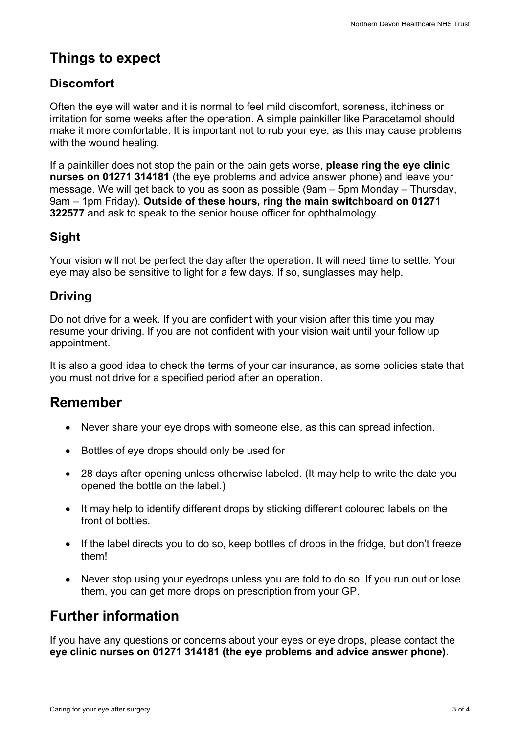# **Things to expect**

### **Discomfort**

Often the eye will water and it is normal to feel mild discomfort, soreness, itchiness or irritation for some weeks after the operation. A simple painkiller like Paracetamol should make it more comfortable. It is important not to rub your eye, as this may cause problems with the wound healing.

If a painkiller does not stop the pain or the pain gets worse, **please ring the eye clinic nurses on 01271 314181** (the eye problems and advice answer phone) and leave your message. We will get back to you as soon as possible (9am – 5pm Monday – Thursday, 9am – 1pm Friday). **Outside of these hours, ring the main switchboard on 01271 322577** and ask to speak to the senior house officer for ophthalmology.

### **Sight**

Your vision will not be perfect the day after the operation. It will need time to settle. Your eye may also be sensitive to light for a few days. If so, sunglasses may help.

### **Driving**

Do not drive for a week. If you are confident with your vision after this time you may resume your driving. If you are not confident with your vision wait until your follow up appointment.

It is also a good idea to check the terms of your car insurance, as some policies state that you must not drive for a specified period after an operation.

## **Remember**

- Never share your eye drops with someone else, as this can spread infection.
- Bottles of eye drops should only be used for
- 28 days after opening unless otherwise labeled. (It may help to write the date you opened the bottle on the label.)
- It may help to identify different drops by sticking different coloured labels on the front of bottles.
- If the label directs you to do so, keep bottles of drops in the fridge, but don't freeze them!
- Never stop using your eyedrops unless you are told to do so. If you run out or lose them, you can get more drops on prescription from your GP.

## **Further information**

If you have any questions or concerns about your eyes or eye drops, please contact the **eye clinic nurses on 01271 314181 (the eye problems and advice answer phone)**.